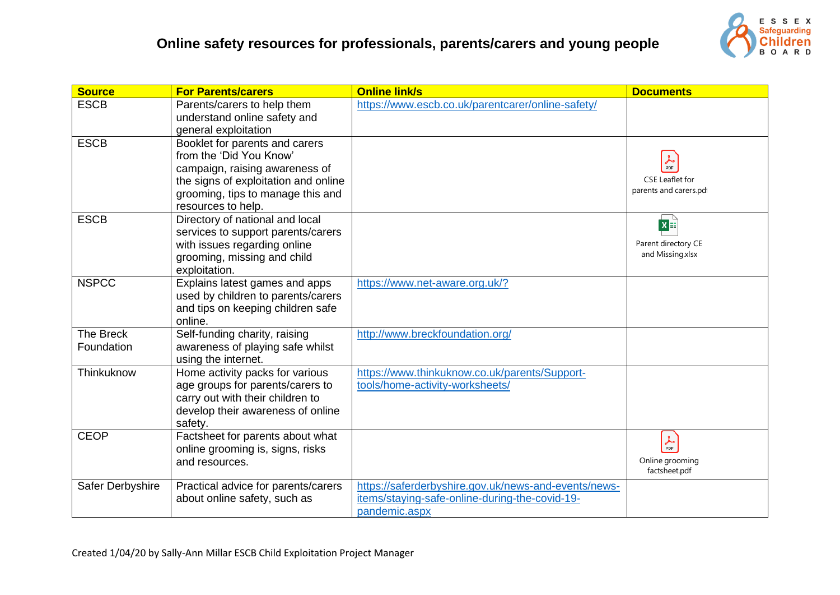

| <b>Source</b>                  | <b>For Parents/carers</b>                                                                                                                                                                      | <b>Online link/s</b>                                                                                                    | <b>Documents</b>                                                   |
|--------------------------------|------------------------------------------------------------------------------------------------------------------------------------------------------------------------------------------------|-------------------------------------------------------------------------------------------------------------------------|--------------------------------------------------------------------|
| <b>ESCB</b>                    | Parents/carers to help them<br>understand online safety and<br>general exploitation                                                                                                            | https://www.escb.co.uk/parentcarer/online-safety/                                                                       |                                                                    |
| <b>ESCB</b>                    | Booklet for parents and carers<br>from the 'Did You Know'<br>campaign, raising awareness of<br>the signs of exploitation and online<br>grooming, tips to manage this and<br>resources to help. |                                                                                                                         | <i>A</i><br>PDF<br><b>CSE Leaflet for</b><br>parents and carers.pd |
| <b>ESCB</b>                    | Directory of national and local<br>services to support parents/carers<br>with issues regarding online<br>grooming, missing and child<br>exploitation.                                          |                                                                                                                         | $x \triangleq$<br>Parent directory CE<br>and Missing.xlsx          |
| <b>NSPCC</b>                   | Explains latest games and apps<br>used by children to parents/carers<br>and tips on keeping children safe<br>online.                                                                           | https://www.net-aware.org.uk/?                                                                                          |                                                                    |
| <b>The Breck</b><br>Foundation | Self-funding charity, raising<br>awareness of playing safe whilst<br>using the internet.                                                                                                       | http://www.breckfoundation.org/                                                                                         |                                                                    |
| Thinkuknow                     | Home activity packs for various<br>age groups for parents/carers to<br>carry out with their children to<br>develop their awareness of online<br>safety.                                        | https://www.thinkuknow.co.uk/parents/Support-<br>tools/home-activity-worksheets/                                        |                                                                    |
| <b>CEOP</b>                    | Factsheet for parents about what<br>online grooming is, signs, risks<br>and resources.                                                                                                         |                                                                                                                         | $\frac{1}{\text{PDF}}$<br>Online grooming<br>factsheet.pdf         |
| Safer Derbyshire               | Practical advice for parents/carers<br>about online safety, such as                                                                                                                            | https://saferderbyshire.gov.uk/news-and-events/news-<br>items/staying-safe-online-during-the-covid-19-<br>pandemic.aspx |                                                                    |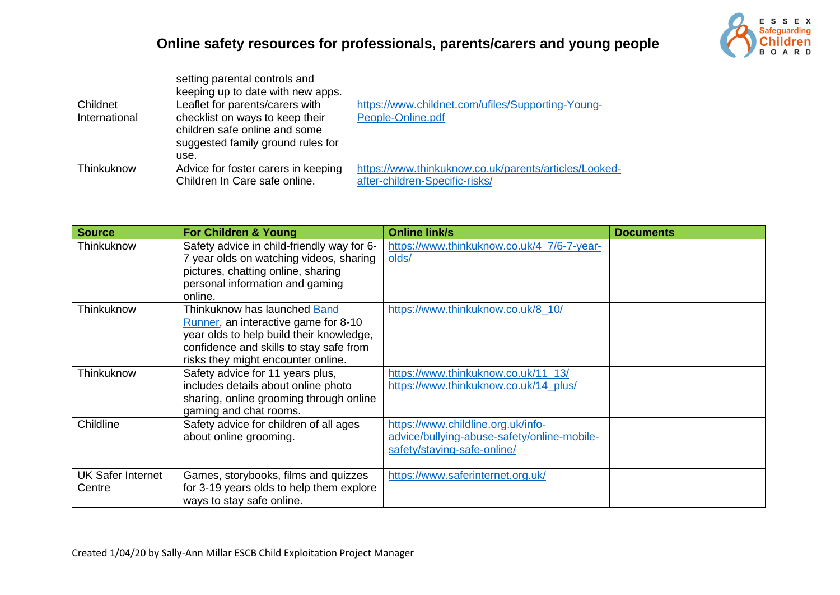

|               | setting parental controls and       |                                                       |  |
|---------------|-------------------------------------|-------------------------------------------------------|--|
|               | keeping up to date with new apps.   |                                                       |  |
| Childnet      | Leaflet for parents/carers with     | https://www.childnet.com/ufiles/Supporting-Young-     |  |
| International | checklist on ways to keep their     | People-Online.pdf                                     |  |
|               | children safe online and some       |                                                       |  |
|               | suggested family ground rules for   |                                                       |  |
|               | use.                                |                                                       |  |
| Thinkuknow    | Advice for foster carers in keeping | https://www.thinkuknow.co.uk/parents/articles/Looked- |  |
|               | Children In Care safe online.       | after-children-Specific-risks/                        |  |
|               |                                     |                                                       |  |

| <b>Source</b>            | For Children & Young                                                  | <b>Online link/s</b>                        | <b>Documents</b> |
|--------------------------|-----------------------------------------------------------------------|---------------------------------------------|------------------|
| Thinkuknow               | Safety advice in child-friendly way for 6-                            | https://www.thinkuknow.co.uk/4_7/6-7-year-  |                  |
|                          | 7 year olds on watching videos, sharing                               | olds/                                       |                  |
|                          | pictures, chatting online, sharing                                    |                                             |                  |
|                          | personal information and gaming                                       |                                             |                  |
|                          | online.                                                               |                                             |                  |
| Thinkuknow               | Thinkuknow has launched Band                                          | https://www.thinkuknow.co.uk/8 10/          |                  |
|                          | Runner, an interactive game for 8-10                                  |                                             |                  |
|                          | year olds to help build their knowledge,                              |                                             |                  |
|                          | confidence and skills to stay safe from                               |                                             |                  |
|                          | risks they might encounter online.                                    |                                             |                  |
| Thinkuknow               | Safety advice for 11 years plus,                                      | https://www.thinkuknow.co.uk/11_13/         |                  |
|                          | includes details about online photo                                   | https://www.thinkuknow.co.uk/14 plus/       |                  |
|                          | sharing, online grooming through online                               |                                             |                  |
|                          | gaming and chat rooms.                                                |                                             |                  |
| Childline                | Safety advice for children of all ages                                | https://www.childline.org.uk/info-          |                  |
|                          | about online grooming.                                                | advice/bullying-abuse-safety/online-mobile- |                  |
|                          |                                                                       | safety/staying-safe-online/                 |                  |
|                          |                                                                       |                                             |                  |
| <b>UK Safer Internet</b> | Games, storybooks, films and quizzes                                  | https://www.saferinternet.org.uk/           |                  |
| Centre                   | for 3-19 years olds to help them explore<br>ways to stay safe online. |                                             |                  |
|                          |                                                                       |                                             |                  |